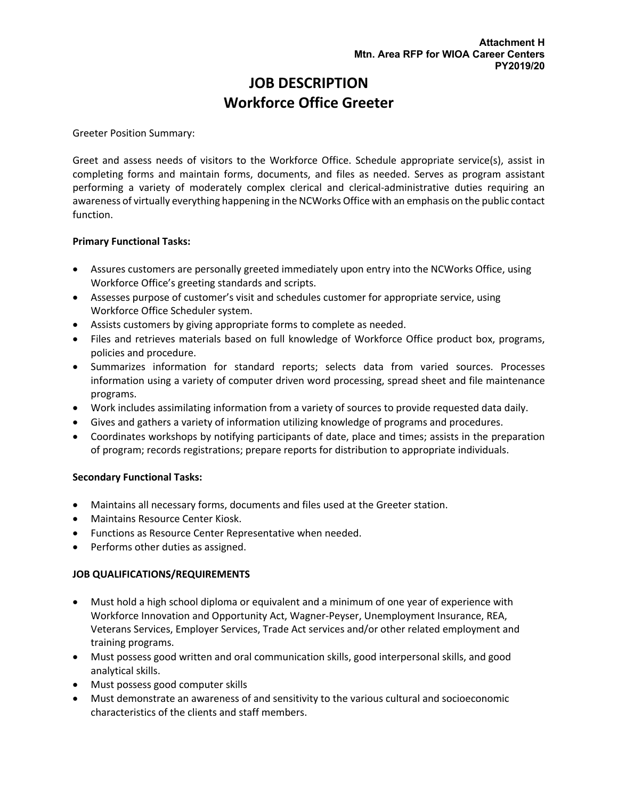# **JOB DESCRIPTION Workforce Office Greeter**

Greeter Position Summary:

Greet and assess needs of visitors to the Workforce Office. Schedule appropriate service(s), assist in completing forms and maintain forms, documents, and files as needed. Serves as program assistant performing a variety of moderately complex clerical and clerical-administrative duties requiring an awareness of virtually everything happening in the NCWorks Office with an emphasis on the public contact function.

## **Primary Functional Tasks:**

- Assures customers are personally greeted immediately upon entry into the NCWorks Office, using Workforce Office's greeting standards and scripts.
- Assesses purpose of customer's visit and schedules customer for appropriate service, using Workforce Office Scheduler system.
- Assists customers by giving appropriate forms to complete as needed.
- Files and retrieves materials based on full knowledge of Workforce Office product box, programs, policies and procedure.
- Summarizes information for standard reports; selects data from varied sources. Processes information using a variety of computer driven word processing, spread sheet and file maintenance programs.
- Work includes assimilating information from a variety of sources to provide requested data daily.
- Gives and gathers a variety of information utilizing knowledge of programs and procedures.
- Coordinates workshops by notifying participants of date, place and times; assists in the preparation of program; records registrations; prepare reports for distribution to appropriate individuals.

## **Secondary Functional Tasks:**

- Maintains all necessary forms, documents and files used at the Greeter station.
- Maintains Resource Center Kiosk.
- Functions as Resource Center Representative when needed.
- Performs other duties as assigned.

## **JOB QUALIFICATIONS/REQUIREMENTS**

- Must hold a high school diploma or equivalent and a minimum of one year of experience with Workforce Innovation and Opportunity Act, Wagner-Peyser, Unemployment Insurance, REA, Veterans Services, Employer Services, Trade Act services and/or other related employment and training programs.
- Must possess good written and oral communication skills, good interpersonal skills, and good analytical skills.
- Must possess good computer skills
- Must demonstrate an awareness of and sensitivity to the various cultural and socioeconomic characteristics of the clients and staff members.